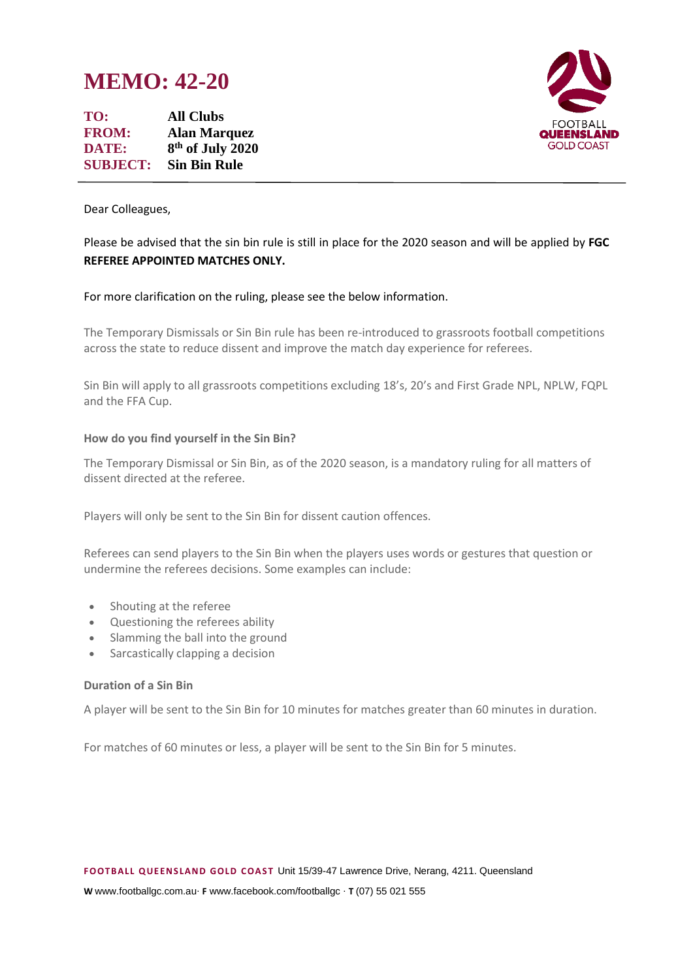# **MEMO: 42-20**

**TO: All Clubs FROM: Alan Marquez DATE: 8 th of July 2020 SUBJECT: Sin Bin Rule**



Dear Colleagues,

# Please be advised that the sin bin rule is still in place for the 2020 season and will be applied by **FGC REFEREE APPOINTED MATCHES ONLY.**

#### For more clarification on the ruling, please see the below information.

The Temporary Dismissals or Sin Bin rule has been re-introduced to grassroots football competitions across the state to reduce dissent and improve the match day experience for referees.

Sin Bin will apply to all grassroots competitions excluding 18's, 20's and First Grade NPL, NPLW, FQPL and the FFA Cup.

#### **How do you find yourself in the Sin Bin?**

The Temporary Dismissal or Sin Bin, as of the 2020 season, is a mandatory ruling for all matters of dissent directed at the referee.

Players will only be sent to the Sin Bin for dissent caution offences.

Referees can send players to the Sin Bin when the players uses words or gestures that question or undermine the referees decisions. Some examples can include:

- Shouting at the referee
- Questioning the referees ability
- Slamming the ball into the ground
- Sarcastically clapping a decision

#### **Duration of a Sin Bin**

A player will be sent to the Sin Bin for 10 minutes for matches greater than 60 minutes in duration.

For matches of 60 minutes or less, a player will be sent to the Sin Bin for 5 minutes.

**W** www.footballgc.com.au. **F** www.facebook.com/footballgc . **T** (07) 55 021 555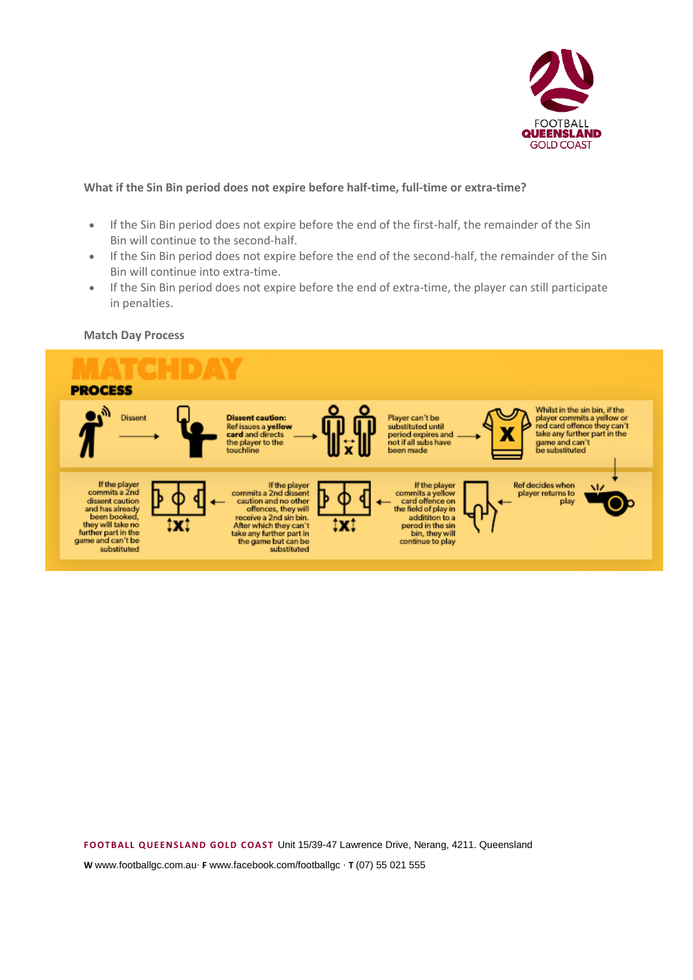

## **What if the Sin Bin period does not expire before half-time, full-time or extra-time?**

- If the Sin Bin period does not expire before the end of the first-half, the remainder of the Sin Bin will continue to the second-half.
- If the Sin Bin period does not expire before the end of the second-half, the remainder of the Sin Bin will continue into extra-time.
- If the Sin Bin period does not expire before the end of extra-time, the player can still participate in penalties.

#### **Match Day Process**

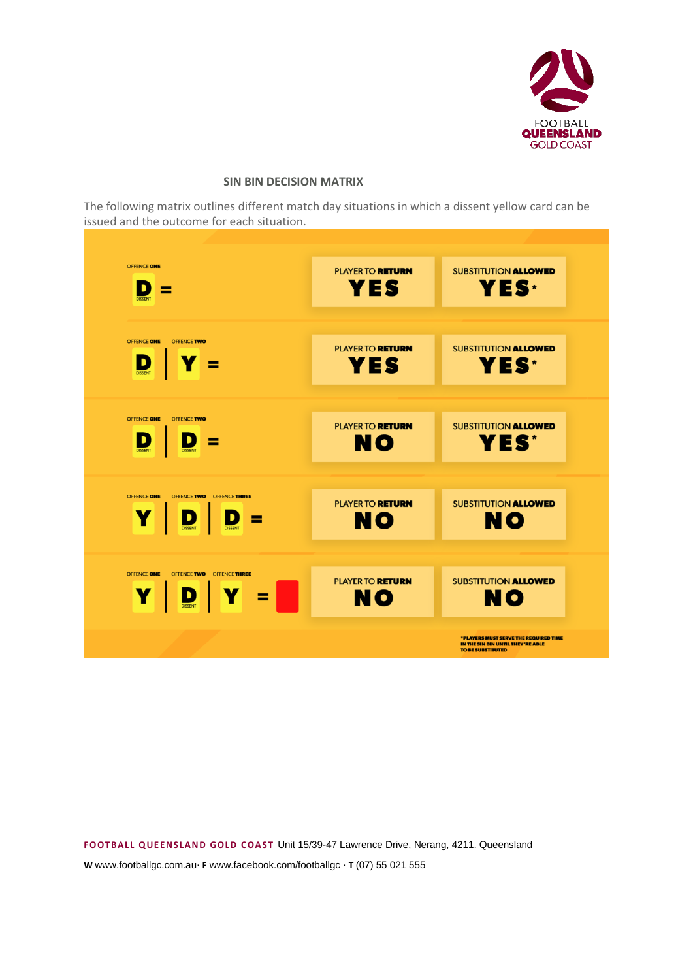

# **SIN BIN DECISION MATRIX**

The following matrix outlines different match day situations in which a dissent yellow card can be issued and the outcome for each situation.

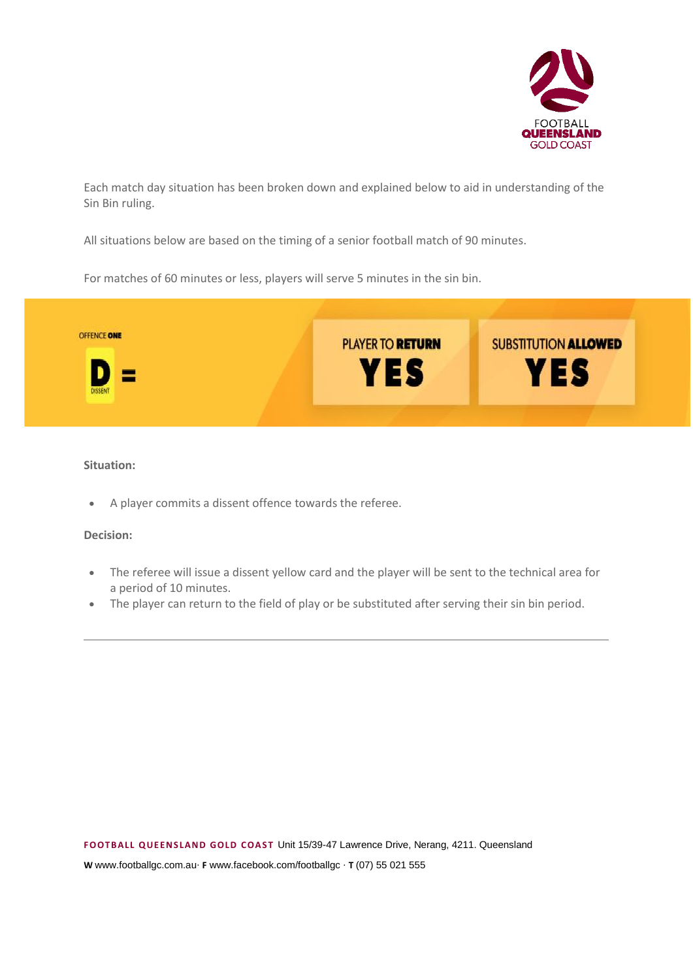

Each match day situation has been broken down and explained below to aid in understanding of the Sin Bin ruling.

All situations below are based on the timing of a senior football match of 90 minutes.

For matches of 60 minutes or less, players will serve 5 minutes in the sin bin.



# **Situation:**

• A player commits a dissent offence towards the referee.

#### **Decision:**

- The referee will issue a dissent yellow card and the player will be sent to the technical area for a period of 10 minutes.
- The player can return to the field of play or be substituted after serving their sin bin period.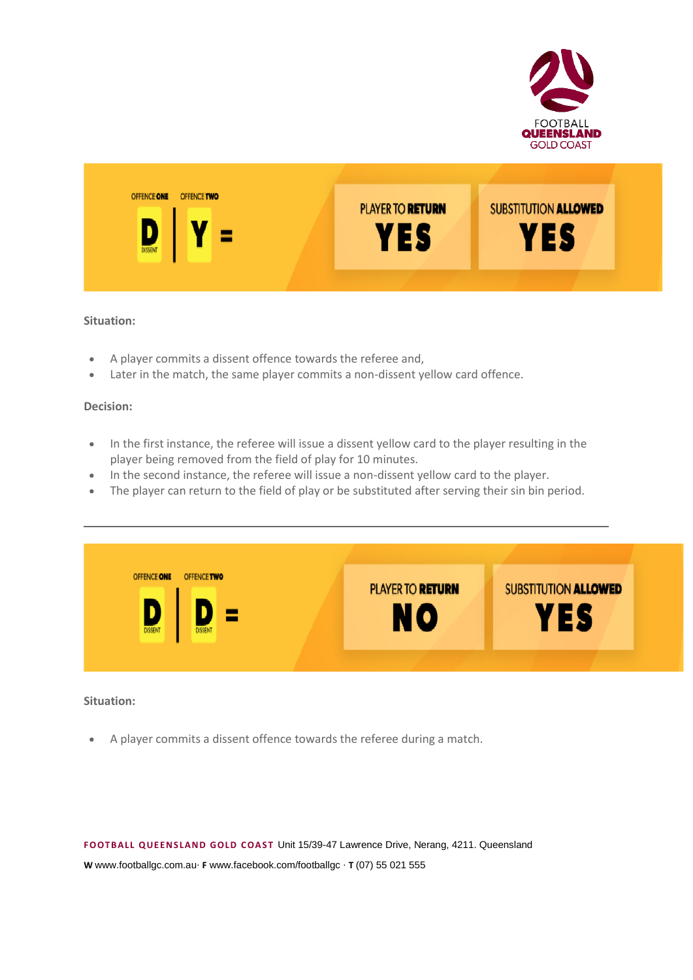



#### **Situation:**

- A player commits a dissent offence towards the referee and,
- Later in the match, the same player commits a non-dissent yellow card offence.

#### **Decision:**

- In the first instance, the referee will issue a dissent yellow card to the player resulting in the player being removed from the field of play for 10 minutes.
- In the second instance, the referee will issue a non-dissent yellow card to the player.
- The player can return to the field of play or be substituted after serving their sin bin period.

| <b>OFFENCE ONE</b><br><b>OFFENCE TWO</b><br><b>SUBSTITUTION ALLOWED</b><br>PLAYER TO <b>RETURN</b><br><b>YES</b><br>NO<br><b>DISSENT</b><br><b>DISSENT</b> |  |  |
|------------------------------------------------------------------------------------------------------------------------------------------------------------|--|--|
|                                                                                                                                                            |  |  |

#### **Situation:**

• A player commits a dissent offence towards the referee during a match.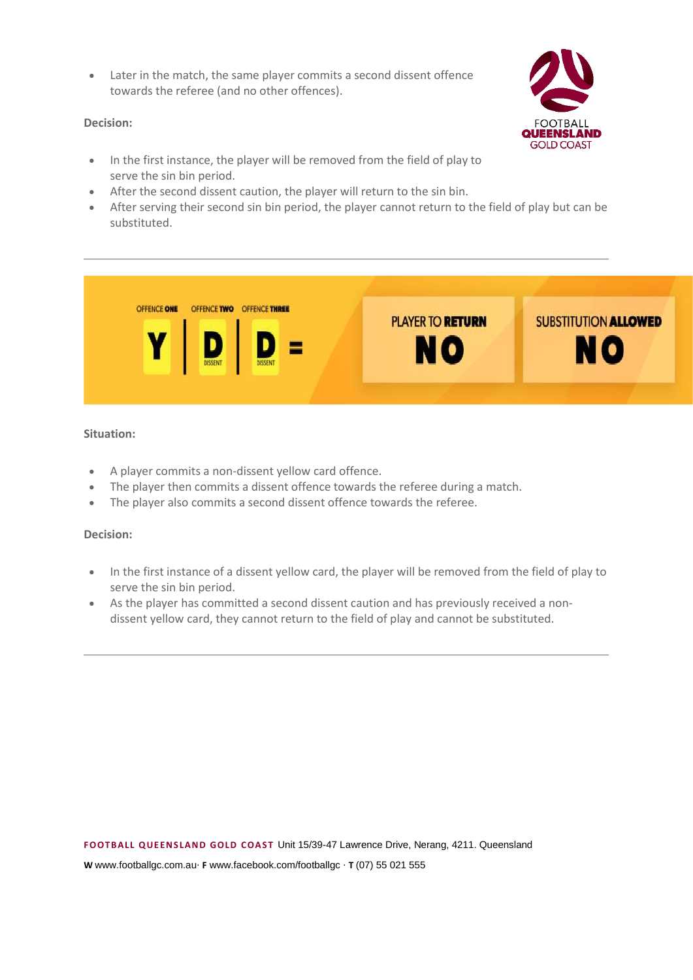• Later in the match, the same player commits a second dissent offence towards the referee (and no other offences).

## **Decision:**

- In the first instance, the player will be removed from the field of play to serve the sin bin period.
- After the second dissent caution, the player will return to the sin bin.
- After serving their second sin bin period, the player cannot return to the field of play but can be substituted.



# **Situation:**

- A player commits a non-dissent yellow card offence.
- The player then commits a dissent offence towards the referee during a match.
- The player also commits a second dissent offence towards the referee.

#### **Decision:**

- In the first instance of a dissent yellow card, the player will be removed from the field of play to serve the sin bin period.
- As the player has committed a second dissent caution and has previously received a nondissent yellow card, they cannot return to the field of play and cannot be substituted.